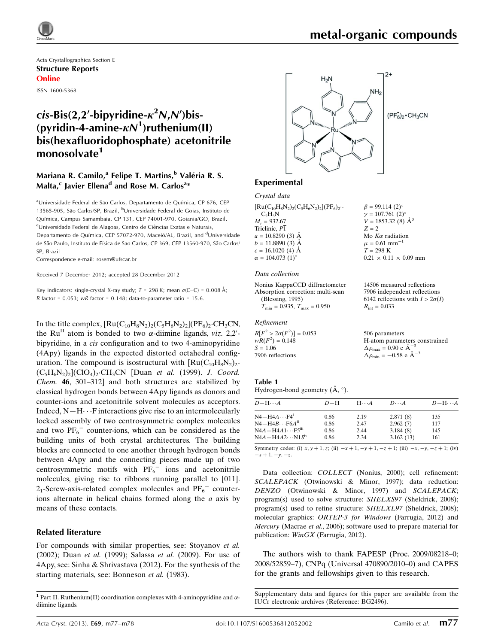Acta Crystallographica Section E Structure Reports Online

ISSN 1600-5368

# $cis$ -Bis(2,2'-bipyridine- $\kappa^2$ N,N')bis-(pyridin-4-amine- $\kappa N^1$ )ruthenium(II) bis(hexafluoridophosphate) acetonitrile monosolvate<sup>1</sup>

### Mariana R. Camilo,<sup>a</sup> Felipe T. Martins,<sup>b</sup> Valéria R. S. Malta, $^{\mathsf{c}}$  Javier Ellena $^{\mathsf{d}}$  and Rose M. Carlos $^{\mathsf{a}}{}^*$

aUniversidade Federal de São Carlos, Departamento de Química, CP 676, CEP 13565-905, São Carlos/SP, Brazil, <sup>b</sup>Universidade Federal de Goias, Instituto de Química, Campus Samambaia, CP 131, CEP 74001-970, Goiania/GO, Brazil, <sup>c</sup>Universidade Federal de Alagoas, Centro de Ciências Exatas e Naturais, Departamento de Química, CEP 57072-970, Maceió/AL, Brazil, and <sup>d</sup>Universidade de São Paulo, Instituto de Física de Sao Carlos, CP 369, CEP 13560-970, São Carlos/ SP, Brazil

Correspondence e-mail: [rosem@ufscar.br](https://scripts.iucr.org/cgi-bin/cr.cgi?rm=pdfbb&cnor=bg2496&bbid=BB11)

Received 7 December 2012; accepted 28 December 2012

Key indicators: single-crystal X-ray study;  $T = 298$  K; mean  $\sigma$ (C–C) = 0.008 Å; R factor =  $0.053$ ; wR factor =  $0.148$ ; data-to-parameter ratio = 15.6.

In the title complex,  $\text{[Ru(C_{10}H_8N_2)_2(C_5H_6N_2)_2](PF_6)_2\cdot CH_3CN}$ , the Ru<sup>II</sup> atom is bonded to two  $\alpha$ -diimine ligands, viz. 2,2'bipyridine, in a cis configuration and to two 4-aminopyridine (4Apy) ligands in the expected distorted octahedral configuration. The compound is isostructural with  $\text{[Ru(C<sub>10</sub>H<sub>8</sub>N<sub>2</sub>)<sub>2</sub>]}$  $(C_5H_6N_2)_2$ ](ClO<sub>4</sub>)<sub>2</sub>·CH<sub>3</sub>CN [Duan *et al.* (1999). *J. Coord.* Chem. 46, 301–312] and both structures are stabilized by classical hydrogen bonds between 4Apy ligands as donors and counter-ions and acetonitrile solvent molecules as acceptors. Indeed,  $N-H\cdots F$  interactions give rise to an intermolecularly locked assembly of two centrosymmetric complex molecules and two  $PF_6^-$  counter-ions, which can be considered as the building units of both crystal architectures. The building blocks are connected to one another through hydrogen bonds between 4Apy and the connecting pieces made up of two centrosymmetric motifs with  $PF_6^-$  ions and acetonitrile molecules, giving rise to ribbons running parallel to [011].  $2<sub>1</sub>$ -Screw-axis-related complex molecules and  $PF<sub>6</sub><sup>-</sup>$  counterions alternate in helical chains formed along the a axis by means of these contacts.

### Related literature

For compounds with similar properties, see: Stoyanov et al. (2002); Duan et al. (1999); Salassa et al. (2009). For use of 4Apy, see: Sinha & Shrivastava (2012). For the synthesis of the starting materials, see: Bonneson et al. (1983).



### Experimental

Crystal data

| $[Ru(C_{10}H_8N_2)_{2}(C_5H_6N_2)_{2}] (PF_6)_{2}$ . | $\beta = 99.114(2)$ °             |
|------------------------------------------------------|-----------------------------------|
| $C_2H_3N$                                            | $\gamma = 107.761~(2)^{\circ}$    |
| $M_r = 932.67$                                       | $V = 1853.32$ (8) $\AA^3$         |
| Triclinic, P1                                        | $Z = 2$                           |
| $a = 10.8290(3)$ Å                                   | Mo $K\alpha$ radiation            |
| $b = 11.8890(3)$ Å                                   | $\mu = 0.61$ mm <sup>-1</sup>     |
| $c = 16.1020$ (4) Å                                  | $T = 298$ K                       |
| $\alpha = 104.073$ (1) <sup>o</sup>                  | $0.21 \times 0.11 \times 0.09$ mm |
|                                                      |                                   |

### Data collection

| Nonius KappaCCD diffractometer       |
|--------------------------------------|
| Absorption correction: multi-scan    |
| (Blessing, 1995)                     |
| $T_{\min} = 0.935, T_{\max} = 0.950$ |

### Refinement

 $R[F^2 > 2\sigma(F^2)] = 0.053$  $wR(F^2) = 0.148$  $S = 1.06$ 7906 reflections

14506 measured reflections 7906 independent reflections 6142 reflections with  $I > 2\sigma(I)$  $R_{\text{int}} = 0.033$ 

506 parameters H-atom parameters constrained  $\Delta \rho_{\text{max}} = 0.90 \text{ e A}^{-3}$  $\Delta \rho_{\text{min}} = -0.58 \text{ e A}^{-3}$ 

#### Table 1 Hydrogen-bond geometry  $(A, \circ)$ .

| $D - H \cdots A$                    | $D-H$ | $H\cdots A$ | $D\cdots A$ | $D - H \cdots A$ |
|-------------------------------------|-------|-------------|-------------|------------------|
| $N4 - H4A \cdots F4$ <sup>1</sup>   | 0.86  | 2.19        | 2.871(8)    | 135              |
| $N4 - H4B \cdots F6A^{ii}$          | 0.86  | 2.47        | 2.962(7)    | 117              |
| $N4A - H4A1 \cdots F5^{\text{iii}}$ | 0.86  | 2.44        | 3.184(8)    | 145              |
| $N4A - H4A2 \cdots N1Siv$           | 0.86  | 2.34        | 3.162(13)   | 161              |

Symmetry codes: (i)  $x, y + 1, z$ ; (ii)  $-x + 1, -y + 1, -z + 1$ ; (iii)  $-x, -y, -z + 1$ ; (iv)  $-x + 1, -y, -z.$ 

Data collection: COLLECT (Nonius, 2000); cell refinement: SCALEPACK (Otwinowski & Minor, 1997); data reduction: DENZO (Otwinowski & Minor, 1997) and SCALEPACK; program(s) used to solve structure: SHELXS97 (Sheldrick, 2008); program(s) used to refine structure: SHELXL97 (Sheldrick, 2008); molecular graphics: ORTEP-3 for Windows (Farrugia, 2012) and Mercury (Macrae et al., 2006); software used to prepare material for publication: WinGX (Farrugia, 2012).

The authors wish to thank FAPESP (Proc. 2009/08218–0; 2008/52859–7), CNPq (Universal 470890/2010–0) and CAPES for the grants and fellowships given to this research.

<sup>&</sup>lt;sup>1</sup> Part II. Ruthenium(II) coordination complexes with 4-aminopyridine and  $\alpha$ diimine ligands.

Supplementary data and figures for this paper are available from the IUCr electronic archives (Reference: BG2496).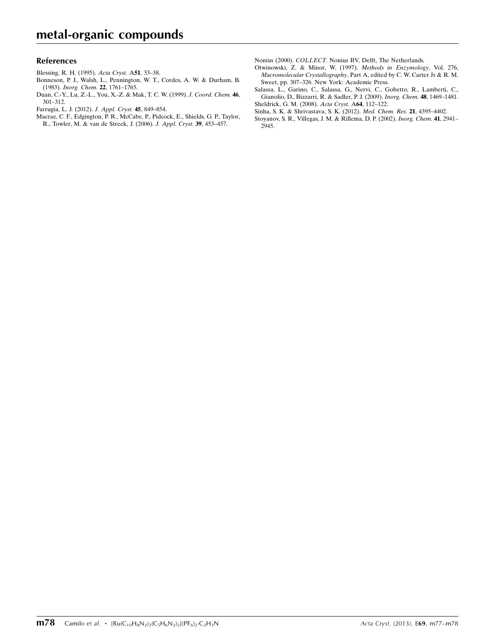### References

- [Blessing, R. H. \(1995\).](https://scripts.iucr.org/cgi-bin/cr.cgi?rm=pdfbb&cnor=bg2496&bbid=BB1) Acta Cryst. A51, 33–38.
- [Bonneson, P. J., Walsh, L., Pennington, W. T., Cordes, A. W. & Durham, B.](https://scripts.iucr.org/cgi-bin/cr.cgi?rm=pdfbb&cnor=bg2496&bbid=BB2) (1983). [Inorg. Chem.](https://scripts.iucr.org/cgi-bin/cr.cgi?rm=pdfbb&cnor=bg2496&bbid=BB2) 22, 1761–1765.
- [Duan, C.-Y., Lu, Z.-L., You, X.-Z. & Mak, T. C. W. \(1999\).](https://scripts.iucr.org/cgi-bin/cr.cgi?rm=pdfbb&cnor=bg2496&bbid=BB3) J. Coord. Chem. 46, [301–312.](https://scripts.iucr.org/cgi-bin/cr.cgi?rm=pdfbb&cnor=bg2496&bbid=BB3)
- [Farrugia, L. J. \(2012\).](https://scripts.iucr.org/cgi-bin/cr.cgi?rm=pdfbb&cnor=bg2496&bbid=BB4) J. Appl. Cryst. 45, 849–854.
- [Macrae, C. F., Edgington, P. R., McCabe, P., Pidcock, E., Shields, G. P., Taylor,](https://scripts.iucr.org/cgi-bin/cr.cgi?rm=pdfbb&cnor=bg2496&bbid=BB5) [R., Towler, M. & van de Streek, J. \(2006\).](https://scripts.iucr.org/cgi-bin/cr.cgi?rm=pdfbb&cnor=bg2496&bbid=BB5) J. Appl. Cryst. 39, 453–457.

Nonius (2000). COLLECT[. Nonius BV, Delft, The Netherlands.](https://scripts.iucr.org/cgi-bin/cr.cgi?rm=pdfbb&cnor=bg2496&bbid=BB6)

- [Otwinowski, Z. & Minor, W. \(1997\).](https://scripts.iucr.org/cgi-bin/cr.cgi?rm=pdfbb&cnor=bg2496&bbid=BB7) Methods in Enzymology, Vol. 276, Macromolecular Crystallography[, Part A, edited by C. W. Carter Jr & R. M.](https://scripts.iucr.org/cgi-bin/cr.cgi?rm=pdfbb&cnor=bg2496&bbid=BB7) [Sweet, pp. 307–326. New York: Academic Press.](https://scripts.iucr.org/cgi-bin/cr.cgi?rm=pdfbb&cnor=bg2496&bbid=BB7)
- [Salassa, L., Garino, C., Salassa, G., Nervi, C., Gobetto, R., Lamberti, C.,](https://scripts.iucr.org/cgi-bin/cr.cgi?rm=pdfbb&cnor=bg2496&bbid=BB8) [Gianolio, D., Bizzarri, R. & Sadler, P. J. \(2009\).](https://scripts.iucr.org/cgi-bin/cr.cgi?rm=pdfbb&cnor=bg2496&bbid=BB8) Inorg. Chem. 48, 1469–1481.
- [Sheldrick, G. M. \(2008\).](https://scripts.iucr.org/cgi-bin/cr.cgi?rm=pdfbb&cnor=bg2496&bbid=BB9) Acta Cryst. A64, 112–122. [Sinha, S. K. & Shrivastava, S. K. \(2012\).](https://scripts.iucr.org/cgi-bin/cr.cgi?rm=pdfbb&cnor=bg2496&bbid=BB10) Med. Chem. Res. 21, 4395–4402.
- [Stoyanov, S. R., Villegas, J. M. & Rillema, D. P. \(2002\).](https://scripts.iucr.org/cgi-bin/cr.cgi?rm=pdfbb&cnor=bg2496&bbid=BB11) Inorg. Chem. 41, 2941– [2945.](https://scripts.iucr.org/cgi-bin/cr.cgi?rm=pdfbb&cnor=bg2496&bbid=BB11)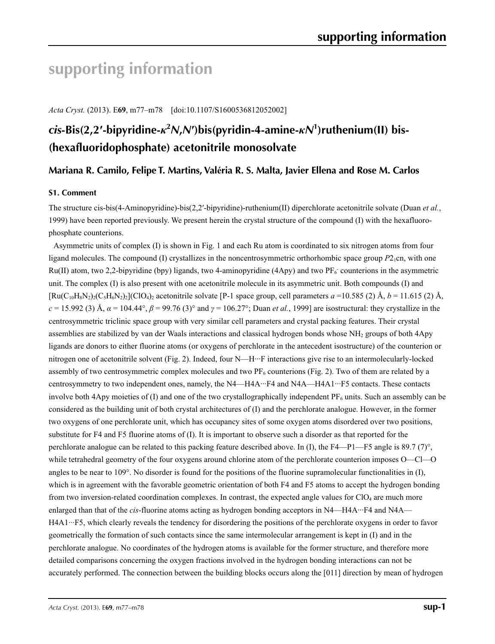# **supporting information**

*Acta Cryst.* (2013). E**69**, m77–m78 [doi:10.1107/S1600536812052002]

# *cis***-Bis(2,2′-bipyridine-***κ***<sup>2</sup>** *N***,***N***′)bis(pyridin-4-amine-***κN***<sup>1</sup> )ruthenium(II) bis- (hexafluoridophosphate) acetonitrile monosolvate**

## **Mariana R. Camilo, Felipe T. Martins, Valéria R. S. Malta, Javier Ellena and Rose M. Carlos**

### **S1. Comment**

The structure cis-bis(4-Aminopyridine)-bis(2,2′-bipyridine)-ruthenium(II) diperchlorate acetonitrile solvate (Duan *et al.*, 1999) have been reported previously. We present herein the crystal structure of the compound (I) with the hexafluorophosphate counterions.

Asymmetric units of complex (I) is shown in Fig. 1 and each Ru atom is coordinated to six nitrogen atoms from four ligand molecules. The compound (I) crystallizes in the noncentrosymmetric orthorhombic space group *P*<sub>2</sub><sub>1</sub>cn, with one  $Ru(II)$  atom, two 2,2-bipyridine (bpy) ligands, two 4-aminopyridine (4Apy) and two PF $_6$  counterions in the asymmetric unit. The complex (I) is also present with one acetonitrile molecule in its asymmetric unit. Both compounds (I) and  $[\text{Ru}(C_{10}H_8N_2)(C_5H_6N_2)_2]$  (ClO<sub>4</sub>)<sub>2</sub> acetonitrile solvate [P-1 space group, cell parameters *a* =10.585 (2) Å, *b* = 11.615 (2) Å, *c* = 15.992 (3) Å,  $\alpha$  = 104.44°,  $\beta$  = 99.76 (3)° and  $\gamma$  = 106.27°; Duan *et al.*, 1999] are isostructural: they crystallize in the centrosymmetric triclinic space group with very similar cell parameters and crystal packing features. Their crystal assemblies are stabilized by van der Waals interactions and classical hydrogen bonds whose NH<sub>2</sub> groups of both 4Apy ligands are donors to either fluorine atoms (or oxygens of perchlorate in the antecedent isostructure) of the counterion or nitrogen one of acetonitrile solvent (Fig. 2). Indeed, four N—H···F interactions give rise to an intermolecularly-locked assembly of two centrosymmetric complex molecules and two  $PF<sub>6</sub>$  counterions (Fig. 2). Two of them are related by a centrosymmetry to two independent ones, namely, the N4—H4A···F4 and N4A—H4A1···F5 contacts. These contacts involve both 4Apy moieties of (I) and one of the two crystallographically independent  $PF_6$  units. Such an assembly can be considered as the building unit of both crystal architectures of (I) and the perchlorate analogue. However, in the former two oxygens of one perchlorate unit, which has occupancy sites of some oxygen atoms disordered over two positions, substitute for F4 and F5 fluorine atoms of (I). It is important to observe such a disorder as that reported for the perchlorate analogue can be related to this packing feature described above. In (I), the F4—P1—F5 angle is 89.7 (7)°, while tetrahedral geometry of the four oxygens around chlorine atom of the perchlorate counterion imposes O—Cl—O angles to be near to 109 $^{\circ}$ . No disorder is found for the positions of the fluorine supramolecular functionalities in (I), which is in agreement with the favorable geometric orientation of both F4 and F5 atoms to accept the hydrogen bonding from two inversion-related coordination complexes. In contrast, the expected angle values for ClO4 are much more enlarged than that of the *cis*-fluorine atoms acting as hydrogen bonding acceptors in N4—H4A···F4 and N4A— H4A1···F5, which clearly reveals the tendency for disordering the positions of the perchlorate oxygens in order to favor geometrically the formation of such contacts since the same intermolecular arrangement is kept in (I) and in the perchlorate analogue. No coordinates of the hydrogen atoms is available for the former structure, and therefore more detailed comparisons concerning the oxygen fractions involved in the hydrogen bonding interactions can not be accurately performed. The connection between the building blocks occurs along the [011] direction by mean of hydrogen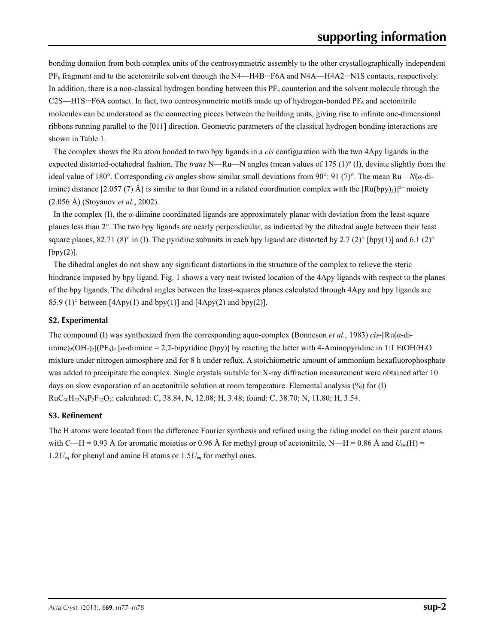bonding donation from both complex units of the centrosymmetric assembly to the other crystallographically independent PF<sub>6</sub> fragment and to the acetonitrile solvent through the N4—H4B···F6A and N4A—H4A2···N1S contacts, respectively. In addition, there is a non-classical hydrogen bonding between this  $PF<sub>6</sub>$  counterion and the solvent molecule through the C2S—H1S···F6A contact. In fact, two centrosymmetric motifs made up of hydrogen-bonded  $PF_6$  and acetonitrile molecules can be understood as the connecting pieces between the building units, giving rise to infinite one-dimensional ribbons running parallel to the [011] direction. Geometric parameters of the classical hydrogen bonding interactions are shown in Table 1.

The complex shows the Ru atom bonded to two bpy ligands in a *cis* configuration with the two 4Apy ligands in the expected distorted-octahedral fashion. The *trans* N—Ru—N angles (mean values of 175 (1)° (I), deviate slightly from the ideal value of 180°. Corresponding *cis* angles show similar small deviations from 90°: 91 (7)°. The mean Ru—*N*(*α*-diimine) distance [2.057 (7) Å] is similar to that found in a related coordination complex with the  $[Ru(bpy)_3]^{2+}$  moiety (2.056 Å) (Stoyanov *et al.*, 2002).

In the complex (I), the *α*-diimine coordinated ligands are approximately planar with deviation from the least-square planes less than 2°. The two bpy ligands are nearly perpendicular, as indicated by the dihedral angle between their least square planes, 82.71 (8)° in (I). The pyridine subunits in each bpy ligand are distorted by 2.7 (2)° [bpy(1)] and 6.1 (2)°  $[by(2)]$ .

The dihedral angles do not show any significant distortions in the structure of the complex to relieve the steric hindrance imposed by bpy ligand. Fig. 1 shows a very neat twisted location of the 4Apy ligands with respect to the planes of the bpy ligands. The dihedral angles between the least-squares planes calculated through 4Apy and bpy ligands are 85.9 (1)<sup>o</sup> between [4Apy(1) and bpy(1)] and [4Apy(2) and bpy(2)].

### **S2. Experimental**

The compound (I) was synthesized from the corresponding aquo-complex (Bonneson *et al.*, 1983) *cis*-[Ru(*α*-diimine)<sub>2</sub>(OH<sub>2</sub>)<sub>2</sub>](PF<sub>6</sub>)<sub>2</sub> [*α*-diimine = 2,2-bipyridine (bpy)] by reacting the latter with 4-Aminopyridine in 1:1 EtOH/H<sub>2</sub>O mixture under nitrogen atmosphere and for 8 h under reflux. A stoichiometric amount of ammonium hexafluorophosphate was added to precipitate the complex. Single crystals suitable for X-ray diffraction measurement were obtained after 10 days on slow evaporation of an acetonitrile solution at room temperature. Elemental analysis (%) for (I) RuC30H32N8P2F12O2: calculated: C, 38.84, N, 12.08; H, 3.48; found: C, 38.70; N, 11.80; H, 3.54.

### **S3. Refinement**

The H atoms were located from the difference Fourier synthesis and refined using the riding model on their parent atoms with C—H = 0.93 Å for aromatic moieties or 0.96 Å for methyl group of acetonitrile, N—H = 0.86 Å and  $U_{iso}(H)$  =  $1.2U_{eq}$  for phenyl and amine H atoms or  $1.5U_{eq}$  for methyl ones.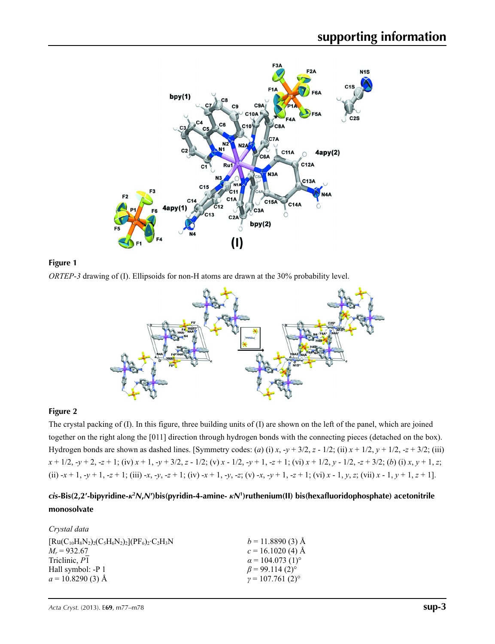



*ORTEP*-*3* drawing of (I). Ellipsoids for non-H atoms are drawn at the 30% probability level.



### **Figure 2**

The crystal packing of (I). In this figure, three building units of (I) are shown on the left of the panel, which are joined together on the right along the [011] direction through hydrogen bonds with the connecting pieces (detached on the box). Hydrogen bonds are shown as dashed lines. [Symmetry codes: (*a*) (i) *x*,  $-y + 3/2$ , *z* - 1/2; (ii)  $x + 1/2$ ,  $y + 1/2$ ,  $-z + 3/2$ ; (iii)  $x + 1/2$ ,  $-y + 2$ ,  $-z + 1$ ; (iv)  $x + 1$ ,  $-y + 3/2$ ,  $z - 1/2$ ; (v)  $x - 1/2$ ,  $-y + 1$ ,  $-z + 1$ ; (vi)  $x + 1/2$ ,  $y - 1/2$ ,  $-z + 3/2$ ; (b) (i)  $x, y + 1$ ,  $z$ ; (ii)  $-x+1$ ,  $-y+1$ ,  $-z+1$ ; (iii)  $-x$ ,  $-y$ ,  $-z+1$ ; (iv)  $-x+1$ ,  $-y$ ,  $-z$ ; (v)  $-x$ ,  $-y+1$ ,  $-z+1$ ; (vi)  $x-1$ ,  $y$ ,  $z$ ; (vii)  $x-1$ ,  $y+1$ ,  $z+1$ ].

## *cis***-Bis(2,2′-bipyridine-***κ***<sup>2</sup>** *N***,***N***′)bis(pyridin-4-amine-** *κN***<sup>1</sup> )ruthenium(II) bis(hexafluoridophosphate) acetonitrile monosolvate**

| Crystal data                                              |                                     |
|-----------------------------------------------------------|-------------------------------------|
| $[Ru(C_{10}H_8N_2)_2(C_5H_6N_2)_2](PF_6)_2 \cdot C_2H_3N$ | $b = 11.8890(3)$ Å                  |
| $M_r = 932.67$                                            | $c = 16.1020$ (4) Å                 |
| Triclinic, P1                                             | $\alpha$ = 104.073 (1) <sup>o</sup> |
| Hall symbol: -P 1                                         | $\beta$ = 99.114 (2) <sup>o</sup>   |
| $a = 10.8290(3)$ Å                                        | $y = 107.761(2)^{\circ}$            |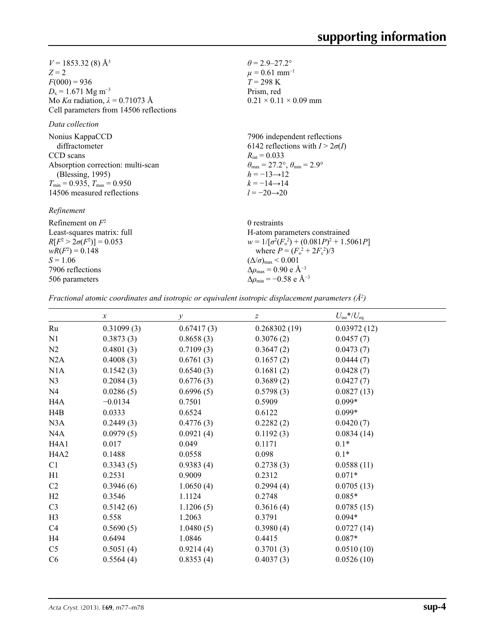$V = 1853.32(8)$  Å<sup>3</sup> *Z* = 2  $F(000) = 936$  $D_x = 1.671$  Mg m<sup>-3</sup> Mo *Kα* radiation, *λ* = 0.71073 Å Cell parameters from 14506 reflections

*Data collection*

| Nonius KappaCCD                                     | 7906 independent reflections                                            |
|-----------------------------------------------------|-------------------------------------------------------------------------|
| diffractometer                                      | 6142 reflections with $I > 2\sigma(I)$                                  |
| CCD scans                                           | $R_{\text{int}} = 0.033$                                                |
| Absorption correction: multi-scan                   | $\theta_{\text{max}} = 27.2^{\circ}, \theta_{\text{min}} = 2.9^{\circ}$ |
| (Blessing, 1995)                                    | $h = -13 \rightarrow 12$                                                |
| $T_{\text{min}} = 0.935$ , $T_{\text{max}} = 0.950$ | $k = -14 \rightarrow 14$                                                |
| 14506 measured reflections                          | $l = -20 \rightarrow 20$                                                |
| Refinement                                          |                                                                         |

Refinement on *F*<sup>2</sup> Least-squares matrix: full *R*[ $F^2 > 2\sigma(F^2)$ ] = 0.053  $wR(F^2) = 0.148$  $S = 1.06$ 7906 reflections 506 parameters 0 restraints H-atom parameters constrained  $w = 1/[\sigma^2 (F_o^2) + (0.081P)^2 + 1.5061P]$ where  $P = (F_o^2 + 2F_c^2)/3$  $(\Delta/\sigma)_{\text{max}}$  < 0.001 Δ*ρ*max = 0.90 e Å−3 Δ*ρ*min = −0.58 e Å−3

 $\theta$  = 2.9–27.2°  $\mu$  = 0.61 mm<sup>-1</sup>  $T = 298 \text{ K}$ Prism, red

 $0.21 \times 0.11 \times 0.09$  mm

*Fractional atomic coordinates and isotropic or equivalent isotropic displacement parameters (Å<sup>2</sup>)* 

|                               | $\boldsymbol{x}$ | $\mathcal{Y}$ | $\boldsymbol{Z}$ | $U_{\rm iso}$ */ $U_{\rm eq}$ |
|-------------------------------|------------------|---------------|------------------|-------------------------------|
| Ru                            | 0.31099(3)       | 0.67417(3)    | 0.268302(19)     | 0.03972(12)                   |
| N1                            | 0.3873(3)        | 0.8658(3)     | 0.3076(2)        | 0.0457(7)                     |
| N2                            | 0.4801(3)        | 0.7109(3)     | 0.3647(2)        | 0.0473(7)                     |
| N2A                           | 0.4008(3)        | 0.6761(3)     | 0.1657(2)        | 0.0444(7)                     |
| N1A                           | 0.1542(3)        | 0.6540(3)     | 0.1681(2)        | 0.0428(7)                     |
| N <sub>3</sub>                | 0.2084(3)        | 0.6776(3)     | 0.3689(2)        | 0.0427(7)                     |
| N <sub>4</sub>                | 0.0286(5)        | 0.6996(5)     | 0.5798(3)        | 0.0827(13)                    |
| H4A                           | $-0.0134$        | 0.7501        | 0.5909           | $0.099*$                      |
| H4B                           | 0.0333           | 0.6524        | 0.6122           | $0.099*$                      |
| N3A                           | 0.2449(3)        | 0.4776(3)     | 0.2282(2)        | 0.0420(7)                     |
| N4A                           | 0.0979(5)        | 0.0921(4)     | 0.1192(3)        | 0.0834(14)                    |
| H <sub>4</sub> A <sub>1</sub> | 0.017            | 0.049         | 0.1171           | $0.1*$                        |
| H <sub>4</sub> A <sub>2</sub> | 0.1488           | 0.0558        | 0.098            | $0.1*$                        |
| C1                            | 0.3343(5)        | 0.9383(4)     | 0.2738(3)        | 0.0588(11)                    |
| H1                            | 0.2531           | 0.9009        | 0.2312           | $0.071*$                      |
| C <sub>2</sub>                | 0.3946(6)        | 1.0650(4)     | 0.2994(4)        | 0.0705(13)                    |
| H2                            | 0.3546           | 1.1124        | 0.2748           | $0.085*$                      |
| C <sub>3</sub>                | 0.5142(6)        | 1.1206(5)     | 0.3616(4)        | 0.0785(15)                    |
| H3                            | 0.558            | 1.2063        | 0.3791           | $0.094*$                      |
| C <sub>4</sub>                | 0.5690(5)        | 1.0480(5)     | 0.3980(4)        | 0.0727(14)                    |
| H <sub>4</sub>                | 0.6494           | 1.0846        | 0.4415           | $0.087*$                      |
| C <sub>5</sub>                | 0.5051(4)        | 0.9214(4)     | 0.3701(3)        | 0.0510(10)                    |
| C6                            | 0.5564(4)        | 0.8353(4)     | 0.4037(3)        | 0.0526(10)                    |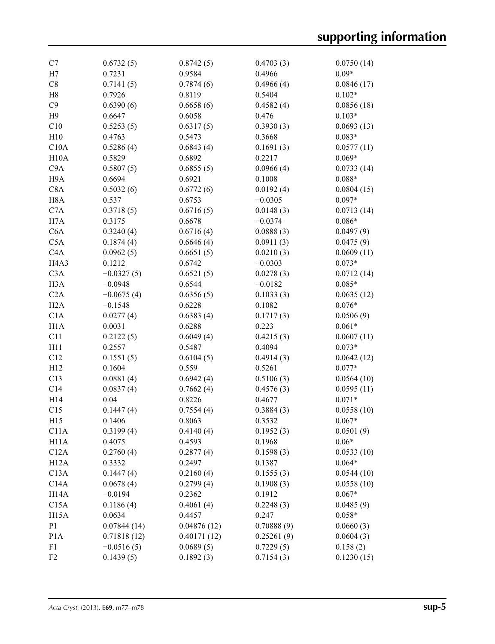| C7                            | 0.6732(5)    | 0.8742(5)   | 0.4703(3)  | 0.0750(14)             |
|-------------------------------|--------------|-------------|------------|------------------------|
| H7                            | 0.7231       | 0.9584      | 0.4966     | $0.09*$                |
| C8                            | 0.7141(5)    | 0.7874(6)   | 0.4966(4)  | 0.0846(17)             |
| H <sub>8</sub>                | 0.7926       | 0.8119      | 0.5404     | $0.102*$               |
| C9                            | 0.6390(6)    | 0.6658(6)   | 0.4582(4)  | 0.0856(18)             |
| H9                            | 0.6647       | 0.6058      | 0.476      | $0.103*$               |
| C10                           | 0.5253(5)    | 0.6317(5)   | 0.3930(3)  | 0.0693(13)             |
| H10                           | 0.4763       | 0.5473      | 0.3668     | $0.083*$               |
| C10A                          | 0.5286(4)    | 0.6843(4)   | 0.1691(3)  | 0.0577(11)             |
| H10A                          | 0.5829       | 0.6892      | 0.2217     | $0.069*$               |
| C <sub>9</sub> A              | 0.5807(5)    | 0.6855(5)   | 0.0966(4)  | 0.0733(14)             |
| H9A                           | 0.6694       | 0.6921      | 0.1008     | $0.088*$               |
| C8A                           | 0.5032(6)    | 0.6772(6)   | 0.0192(4)  | 0.0804(15)             |
| H <sub>8</sub> A              | 0.537        | 0.6753      | $-0.0305$  | $0.097*$               |
| C7A                           | 0.3718(5)    | 0.6716(5)   | 0.0148(3)  | 0.0713(14)             |
| H7A                           | 0.3175       | 0.6678      | $-0.0374$  | $0.086*$               |
| C <sub>6</sub> A              | 0.3240(4)    | 0.6716(4)   | 0.0888(3)  | 0.0497(9)              |
| C5A                           | 0.1874(4)    | 0.6646(4)   | 0.0911(3)  | 0.0475(9)              |
| C <sub>4</sub> A              | 0.0962(5)    | 0.6651(5)   | 0.0210(3)  | 0.0609(11)             |
| H <sub>4</sub> A <sub>3</sub> | 0.1212       | 0.6742      | $-0.0303$  | $0.073*$               |
| C3A                           | $-0.0327(5)$ | 0.6521(5)   | 0.0278(3)  | 0.0712(14)             |
| H <sub>3</sub> A              | $-0.0948$    | 0.6544      | $-0.0182$  | $0.085*$               |
| C2A                           |              |             |            |                        |
|                               | $-0.0675(4)$ | 0.6356(5)   | 0.1033(3)  | 0.0635(12)<br>$0.076*$ |
| H2A                           | $-0.1548$    | 0.6228      | 0.1082     |                        |
| C1A                           | 0.0277(4)    | 0.6383(4)   | 0.1717(3)  | 0.0506(9)              |
| H1A                           | 0.0031       | 0.6288      | 0.223      | $0.061*$               |
| C11                           | 0.2122(5)    | 0.6049(4)   | 0.4215(3)  | 0.0607(11)             |
| H11                           | 0.2557       | 0.5487      | 0.4094     | $0.073*$               |
| C12                           | 0.1551(5)    | 0.6104(5)   | 0.4914(3)  | 0.0642(12)             |
| H12                           | 0.1604       | 0.559       | 0.5261     | $0.077*$               |
| C13                           | 0.0881(4)    | 0.6942(4)   | 0.5106(3)  | 0.0564(10)             |
| C14                           | 0.0837(4)    | 0.7662(4)   | 0.4576(3)  | 0.0595(11)             |
| H14                           | 0.04         | 0.8226      | 0.4677     | $0.071*$               |
| C15                           | 0.1447(4)    | 0.7554(4)   | 0.3884(3)  | 0.0558(10)             |
| H15                           | 0.1406       | 0.8063      | 0.3532     | $0.067*$               |
| C11A                          | 0.3199(4)    | 0.4140(4)   | 0.1952(3)  | 0.0501(9)              |
| H <sub>11</sub> A             | 0.4075       | 0.4593      | 0.1968     | $0.06*$                |
| C12A                          | 0.2760(4)    | 0.2877(4)   | 0.1598(3)  | 0.0533(10)             |
| H12A                          | 0.3332       | 0.2497      | 0.1387     | $0.064*$               |
| C13A                          | 0.1447(4)    | 0.2160(4)   | 0.1555(3)  | 0.0544(10)             |
| C14A                          | 0.0678(4)    | 0.2799(4)   | 0.1908(3)  | 0.0558(10)             |
| H <sub>14</sub> A             | $-0.0194$    | 0.2362      | 0.1912     | $0.067*$               |
| C15A                          | 0.1186(4)    | 0.4061(4)   | 0.2248(3)  | 0.0485(9)              |
| H15A                          | 0.0634       | 0.4457      | 0.247      | $0.058*$               |
| P <sub>1</sub>                | 0.07844(14)  | 0.04876(12) | 0.70888(9) | 0.0660(3)              |
| P <sub>1</sub> A              | 0.71818(12)  | 0.40171(12) | 0.25261(9) | 0.0604(3)              |
| F1                            | $-0.0516(5)$ | 0.0689(5)   | 0.7229(5)  | 0.158(2)               |
| F <sub>2</sub>                | 0.1439(5)    | 0.1892(3)   | 0.7154(3)  | 0.1230(15)             |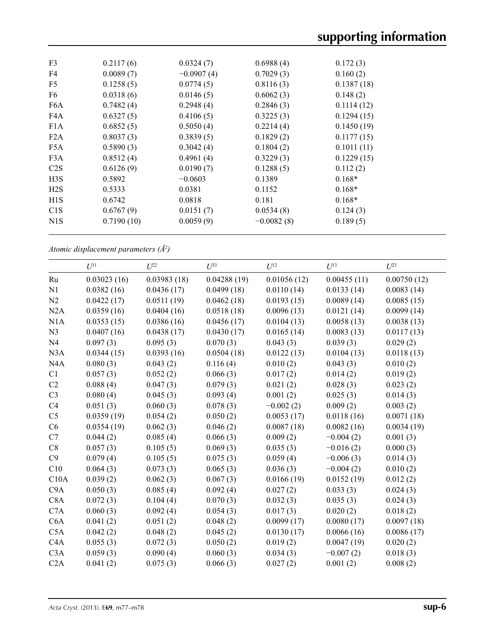| F <sub>3</sub>   | 0.2117(6)  | 0.0324(7)    | 0.6988(4)    | 0.172(3)   |  |
|------------------|------------|--------------|--------------|------------|--|
| F4               | 0.0089(7)  | $-0.0907(4)$ | 0.7029(3)    | 0.160(2)   |  |
| F <sub>5</sub>   | 0.1258(5)  | 0.0774(5)    | 0.8116(3)    | 0.1387(18) |  |
| F6               | 0.0318(6)  | 0.0146(5)    | 0.6062(3)    | 0.148(2)   |  |
| F <sub>6</sub> A | 0.7482(4)  | 0.2948(4)    | 0.2846(3)    | 0.1114(12) |  |
| F4A              | 0.6327(5)  | 0.4106(5)    | 0.3225(3)    | 0.1294(15) |  |
| F1A              | 0.6852(5)  | 0.5050(4)    | 0.2214(4)    | 0.1450(19) |  |
| F2A              | 0.8037(3)  | 0.3839(5)    | 0.1829(2)    | 0.1177(15) |  |
| F5A              | 0.5890(3)  | 0.3042(4)    | 0.1804(2)    | 0.1011(11) |  |
| F3A              | 0.8512(4)  | 0.4961(4)    | 0.3229(3)    | 0.1229(15) |  |
| C2S              | 0.6126(9)  | 0.0190(7)    | 0.1288(5)    | 0.112(2)   |  |
| H3S              | 0.5892     | $-0.0603$    | 0.1389       | $0.168*$   |  |
| H2S              | 0.5333     | 0.0381       | 0.1152       | $0.168*$   |  |
| H1S              | 0.6742     | 0.0818       | 0.181        | $0.168*$   |  |
| C1S              | 0.6767(9)  | 0.0151(7)    | 0.0534(8)    | 0.124(3)   |  |
| N <sub>1</sub> S | 0.7190(10) | 0.0059(9)    | $-0.0082(8)$ | 0.189(5)   |  |
|                  |            |              |              |            |  |

*Atomic displacement parameters (Å2 )*

|                | $U^{11}$    | $U^{22}$    | $U^{33}$    | $U^{12}$    | $U^{13}$    | $U^{23}$    |
|----------------|-------------|-------------|-------------|-------------|-------------|-------------|
| Ru             | 0.03023(16) | 0.03983(18) | 0.04288(19) | 0.01056(12) | 0.00455(11) | 0.00750(12) |
| N <sub>1</sub> | 0.0382(16)  | 0.0436(17)  | 0.0499(18)  | 0.0110(14)  | 0.0133(14)  | 0.0083(14)  |
| N2             | 0.0422(17)  | 0.0511(19)  | 0.0462(18)  | 0.0193(15)  | 0.0089(14)  | 0.0085(15)  |
| N2A            | 0.0359(16)  | 0.0404(16)  | 0.0518(18)  | 0.0096(13)  | 0.0121(14)  | 0.0099(14)  |
| N1A            | 0.0353(15)  | 0.0386(16)  | 0.0456(17)  | 0.0104(13)  | 0.0058(13)  | 0.0038(13)  |
| N <sub>3</sub> | 0.0407(16)  | 0.0438(17)  | 0.0430(17)  | 0.0165(14)  | 0.0083(13)  | 0.0117(13)  |
| N <sub>4</sub> | 0.097(3)    | 0.095(3)    | 0.070(3)    | 0.043(3)    | 0.039(3)    | 0.029(2)    |
| N3A            | 0.0344(15)  | 0.0393(16)  | 0.0504(18)  | 0.0122(13)  | 0.0104(13)  | 0.0118(13)  |
| N4A            | 0.080(3)    | 0.043(2)    | 0.116(4)    | 0.010(2)    | 0.043(3)    | 0.010(2)    |
| C1             | 0.057(3)    | 0.052(2)    | 0.066(3)    | 0.017(2)    | 0.014(2)    | 0.019(2)    |
| C2             | 0.088(4)    | 0.047(3)    | 0.079(3)    | 0.021(2)    | 0.028(3)    | 0.023(2)    |
| C <sub>3</sub> | 0.080(4)    | 0.045(3)    | 0.093(4)    | 0.001(2)    | 0.025(3)    | 0.014(3)    |
| C4             | 0.051(3)    | 0.060(3)    | 0.078(3)    | $-0.002(2)$ | 0.009(2)    | 0.003(2)    |
| C <sub>5</sub> | 0.0359(19)  | 0.054(2)    | 0.050(2)    | 0.0053(17)  | 0.0118(16)  | 0.0071(18)  |
| C6             | 0.0354(19)  | 0.062(3)    | 0.046(2)    | 0.0087(18)  | 0.0082(16)  | 0.0034(19)  |
| C7             | 0.044(2)    | 0.085(4)    | 0.066(3)    | 0.009(2)    | $-0.004(2)$ | 0.001(3)    |
| C8             | 0.057(3)    | 0.105(5)    | 0.069(3)    | 0.035(3)    | $-0.016(2)$ | 0.000(3)    |
| C9             | 0.079(4)    | 0.105(5)    | 0.075(3)    | 0.059(4)    | $-0.006(3)$ | 0.014(3)    |
| C10            | 0.064(3)    | 0.073(3)    | 0.065(3)    | 0.036(3)    | $-0.004(2)$ | 0.010(2)    |
| C10A           | 0.039(2)    | 0.062(3)    | 0.067(3)    | 0.0166(19)  | 0.0152(19)  | 0.012(2)    |
| C9A            | 0.050(3)    | 0.085(4)    | 0.092(4)    | 0.027(2)    | 0.033(3)    | 0.024(3)    |
| C8A            | 0.072(3)    | 0.104(4)    | 0.070(3)    | 0.032(3)    | 0.035(3)    | 0.024(3)    |
| C7A            | 0.060(3)    | 0.092(4)    | 0.054(3)    | 0.017(3)    | 0.020(2)    | 0.018(2)    |
| C6A            | 0.041(2)    | 0.051(2)    | 0.048(2)    | 0.0099(17)  | 0.0080(17)  | 0.0097(18)  |
| C5A            | 0.042(2)    | 0.048(2)    | 0.045(2)    | 0.0130(17)  | 0.0066(16)  | 0.0086(17)  |
| C4A            | 0.055(3)    | 0.072(3)    | 0.050(2)    | 0.019(2)    | 0.0047(19)  | 0.020(2)    |
| C3A            | 0.059(3)    | 0.090(4)    | 0.060(3)    | 0.034(3)    | $-0.007(2)$ | 0.018(3)    |
| C2A            | 0.041(2)    | 0.075(3)    | 0.066(3)    | 0.027(2)    | 0.001(2)    | 0.008(2)    |
|                |             |             |             |             |             |             |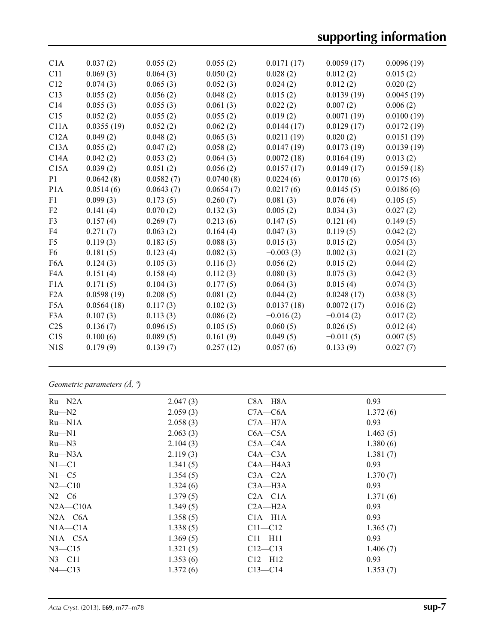# **supporting information**

| C1A              | 0.037(2)   | 0.055(2)  | 0.055(2)  | 0.0171(17)  | 0.0059(17)  | 0.0096(19) |
|------------------|------------|-----------|-----------|-------------|-------------|------------|
| C11              | 0.069(3)   | 0.064(3)  | 0.050(2)  | 0.028(2)    | 0.012(2)    | 0.015(2)   |
| C12              | 0.074(3)   | 0.065(3)  | 0.052(3)  | 0.024(2)    | 0.012(2)    | 0.020(2)   |
| C13              | 0.055(2)   | 0.056(2)  | 0.048(2)  | 0.015(2)    | 0.0139(19)  | 0.0045(19) |
| C14              | 0.055(3)   | 0.055(3)  | 0.061(3)  | 0.022(2)    | 0.007(2)    | 0.006(2)   |
| C15              | 0.052(2)   | 0.055(2)  | 0.055(2)  | 0.019(2)    | 0.0071(19)  | 0.0100(19) |
| C11A             | 0.0355(19) | 0.052(2)  | 0.062(2)  | 0.0144(17)  | 0.0129(17)  | 0.0172(19) |
| C12A             | 0.049(2)   | 0.048(2)  | 0.065(3)  | 0.0211(19)  | 0.020(2)    | 0.0151(19) |
| C13A             | 0.055(2)   | 0.047(2)  | 0.058(2)  | 0.0147(19)  | 0.0173(19)  | 0.0139(19) |
| C14A             | 0.042(2)   | 0.053(2)  | 0.064(3)  | 0.0072(18)  | 0.0164(19)  | 0.013(2)   |
| C15A             | 0.039(2)   | 0.051(2)  | 0.056(2)  | 0.0157(17)  | 0.0149(17)  | 0.0159(18) |
| P <sub>1</sub>   | 0.0642(8)  | 0.0582(7) | 0.0740(8) | 0.0224(6)   | 0.0170(6)   | 0.0175(6)  |
| P <sub>1</sub> A | 0.0514(6)  | 0.0643(7) | 0.0654(7) | 0.0217(6)   | 0.0145(5)   | 0.0186(6)  |
| F1               | 0.099(3)   | 0.173(5)  | 0.260(7)  | 0.081(3)    | 0.076(4)    | 0.105(5)   |
| F2               | 0.141(4)   | 0.070(2)  | 0.132(3)  | 0.005(2)    | 0.034(3)    | 0.027(2)   |
| F <sub>3</sub>   | 0.157(4)   | 0.269(7)  | 0.213(6)  | 0.147(5)    | 0.121(4)    | 0.149(5)   |
| F4               | 0.271(7)   | 0.063(2)  | 0.164(4)  | 0.047(3)    | 0.119(5)    | 0.042(2)   |
| F <sub>5</sub>   | 0.119(3)   | 0.183(5)  | 0.088(3)  | 0.015(3)    | 0.015(2)    | 0.054(3)   |
| F <sub>6</sub>   | 0.181(5)   | 0.123(4)  | 0.082(3)  | $-0.003(3)$ | 0.002(3)    | 0.021(2)   |
| F <sub>6</sub> A | 0.124(3)   | 0.105(3)  | 0.116(3)  | 0.056(2)    | 0.015(2)    | 0.044(2)   |
| F4A              | 0.151(4)   | 0.158(4)  | 0.112(3)  | 0.080(3)    | 0.075(3)    | 0.042(3)   |
| F1A              | 0.171(5)   | 0.104(3)  | 0.177(5)  | 0.064(3)    | 0.015(4)    | 0.074(3)   |
| F2A              | 0.0598(19) | 0.208(5)  | 0.081(2)  | 0.044(2)    | 0.0248(17)  | 0.038(3)   |
| F <sub>5</sub> A | 0.0564(18) | 0.117(3)  | 0.102(3)  | 0.0137(18)  | 0.0072(17)  | 0.016(2)   |
| F <sub>3</sub> A | 0.107(3)   | 0.113(3)  | 0.086(2)  | $-0.016(2)$ | $-0.014(2)$ | 0.017(2)   |
| C2S              | 0.136(7)   | 0.096(5)  | 0.105(5)  | 0.060(5)    | 0.026(5)    | 0.012(4)   |
| C1S              | 0.100(6)   | 0.089(5)  | 0.161(9)  | 0.049(5)    | $-0.011(5)$ | 0.007(5)   |
| N1S              | 0.179(9)   | 0.139(7)  | 0.257(12) | 0.057(6)    | 0.133(9)    | 0.027(7)   |
|                  |            |           |           |             |             |            |

*Geometric parameters (Å, º)*

| $Ru$ — $N2A$ | 2.047(3) | $C8A - H8A$  | 0.93     |
|--------------|----------|--------------|----------|
| $Ru$ — $N2$  | 2.059(3) | $C7A - C6A$  | 1.372(6) |
| $Ru$ — $N1A$ | 2.058(3) | $C7A - H7A$  | 0.93     |
| $Ru$ — $N1$  | 2.063(3) | $C6A - C5A$  | 1.463(5) |
| $Ru$ — $N3$  | 2.104(3) | $C5A - C4A$  | 1.380(6) |
| $Ru$ —N3A    | 2.119(3) | $C4A - C3A$  | 1.381(7) |
| $N1 - C1$    | 1.341(5) | $CAA - H4A3$ | 0.93     |
| $N1 - C5$    | 1.354(5) | $C3A - C2A$  | 1.370(7) |
| $N2 - C10$   | 1.324(6) | $C3A - H3A$  | 0.93     |
| $N2-C6$      | 1.379(5) | $C2A - C1A$  | 1.371(6) |
| $N2A - C10A$ | 1.349(5) | $C2A - H2A$  | 0.93     |
| $N2A - C6A$  | 1.358(5) | $C1A - H1A$  | 0.93     |
| $NIA - C1A$  | 1.338(5) | $C11 - C12$  | 1.365(7) |
| $NIA-C5A$    | 1.369(5) | $C11 - H11$  | 0.93     |
| $N3 - C15$   | 1.321(5) | $C12 - C13$  | 1.406(7) |
| $N3$ —C11    | 1.353(6) | $C12 - H12$  | 0.93     |
| $N4 - C13$   | 1.372(6) | $C13 - C14$  | 1.353(7) |
|              |          |              |          |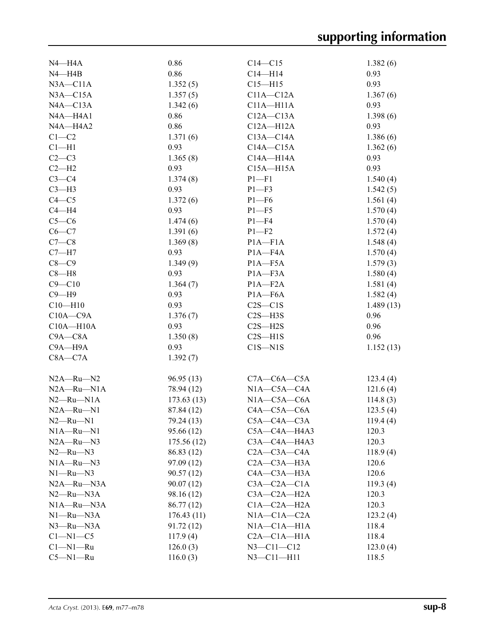| N4—H4A           | 0.86       | $C14 - C15$           | 1.382(6)  |
|------------------|------------|-----------------------|-----------|
| $N4 - H4B$       | 0.86       | $C14 - H14$           | 0.93      |
| $N3A - C11A$     | 1.352(5)   | $C15 - H15$           | 0.93      |
| $N3A - C15A$     | 1.357(5)   | $C11A - C12A$         | 1.367(6)  |
| $NAA - C13A$     | 1.342(6)   | $C11A - H11A$         | 0.93      |
| N4A-H4A1         | 0.86       | $C12A - C13A$         | 1.398(6)  |
| N4A-H4A2         | 0.86       | $C12A - H12A$         | 0.93      |
| $C1 - C2$        | 1.371(6)   | $C13A - C14A$         | 1.386(6)  |
| $Cl - H1$        | 0.93       | $C14A - C15A$         | 1.362(6)  |
| $C2-C3$          | 1.365(8)   | $C14A - H14A$         | 0.93      |
| $C2-H2$          | 0.93       | $C15A - H15A$         | 0.93      |
| $C3-C4$          | 1.374(8)   | $P1 - F1$             | 1.540(4)  |
| $C3-H3$          | 0.93       | $P1 - F3$             | 1.542(5)  |
| $C4 - C5$        | 1.372(6)   | $P1 - F6$             | 1.561(4)  |
| $C4 - H4$        | 0.93       | $P1 - F5$             | 1.570(4)  |
| $C5-C6$          | 1.474(6)   | $P1 - F4$             | 1.570(4)  |
| $C6-C7$          | 1.391(6)   |                       |           |
|                  |            | $P1 - F2$             | 1.572(4)  |
| $C7-C8$          | 1.369(8)   | $P1A - F1A$           | 1.548(4)  |
| $C7 - H7$        | 0.93       | $P1A - F4A$           | 1.570(4)  |
| $C8-C9$          | 1.349(9)   | $P1A - F5A$           | 1.579(3)  |
| $C8 - H8$        | 0.93       | $P1A - F3A$           | 1.580(4)  |
| $C9 - C10$       | 1.364(7)   | $P1A - F2A$           | 1.581(4)  |
| $C9 - H9$        | 0.93       | $P1A - F6A$           | 1.582(4)  |
| $C10 - H10$      | 0.93       | $C2S - C1S$           | 1.489(13) |
| $C10A - C9A$     | 1.376(7)   | $C2S - H3S$           | 0.96      |
| $C10A - H10A$    | 0.93       | $C2S - H2S$           | 0.96      |
| $C9A - C8A$      | 1.350(8)   | $C2S - H1S$           | 0.96      |
| $C9A - H9A$      | 0.93       | $C1S - N1S$           | 1.152(13) |
| $C8A - C7A$      | 1.392(7)   |                       |           |
|                  |            |                       |           |
| $N2A - Ru - N2$  | 96.95(13)  | $C7A - C6A - C5A$     | 123.4(4)  |
| $N2A - Ru - N1A$ | 78.94 (12) | $N1A - C5A - C4A$     | 121.6(4)  |
| $N2 - Ru - N1A$  | 173.63(13) | $N1A-C5A-C6A$         | 114.8(3)  |
| $N2A - Ru - N1$  | 87.84 (12) | $C4A - C5A - C6A$     | 123.5(4)  |
| $N2 - Ru - N1$   | 79.24 (13) | $C5A - C4A - C3A$     | 119.4(4)  |
| $N1A - Ru - N1$  | 95.66 (12) | $C5A - C4A - H4A3$    | 120.3     |
| $N2A - Ru - N3$  | 175.56(12) | C3A-C4A-H4A3          | 120.3     |
| $N2 - Ru - N3$   | 86.83 (12) | $C2A - C3A - C4A$     | 118.9(4)  |
| $N1A - Ru - N3$  | 97.09 (12) | $C2A - C3A - H3A$     | 120.6     |
| $N1 - Ru - N3$   | 90.57(12)  | $CAA$ — $C3A$ —H $3A$ | 120.6     |
| $N2A - Ru - N3A$ | 90.07(12)  | $C3A - C2A - C1A$     | 119.3(4)  |
| $N2 - Ru - N3A$  | 98.16 (12) | $C3A - C2A - H2A$     | 120.3     |
| $N1A - Ru - N3A$ | 86.77 (12) | $C1A - C2A - H2A$     | 120.3     |
| $N1 - Ru - N3A$  | 176.43(11) | $NIA-C1A-C2A$         | 123.2(4)  |
| $N3$ —Ru—N $3A$  | 91.72 (12) | NIA—C1A—H1A           | 118.4     |
| $C1-M1-C5$       | 117.9(4)   | $C2A - C1A - H1A$     | 118.4     |
| $C1 - N1 - Ru$   | 126.0(3)   | $N3 - C11 - C12$      | 123.0(4)  |
| $C5 - N1 - Ru$   | 116.0(3)   | $N3 - C11 - H11$      | 118.5     |
|                  |            |                       |           |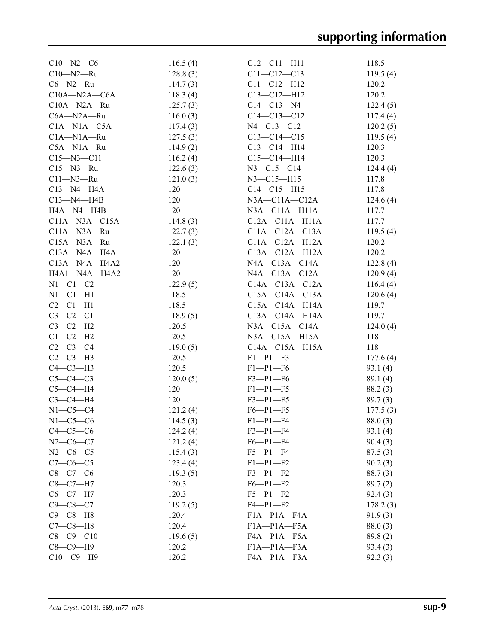| $C10 - N2 - C6$     | 116.5(4) | $C12 - C11 - H11$    | 118.5    |
|---------------------|----------|----------------------|----------|
| $C10 - N2 - Ru$     | 128.8(3) | $C11 - C12 - C13$    | 119.5(4) |
| $C6 - N2 - Ru$      | 114.7(3) | $C11 - C12 - H12$    | 120.2    |
| $C10A - N2A - C6A$  | 118.3(4) | $C13 - C12 - H12$    | 120.2    |
| $C10A - N2A - Ru$   | 125.7(3) | $C14 - C13 - N4$     | 122.4(5) |
| C6A-N2A-Ru          | 116.0(3) | $C14 - C13 - C12$    | 117.4(4) |
| $C1A - N1A - C5A$   | 117.4(3) | $N4 - C13 - C12$     | 120.2(5) |
| $C1A - N1A - Ru$    | 127.5(3) | $C13 - C14 - C15$    | 119.5(4) |
| $C5A - N1A - Ru$    | 114.9(2) | $C13 - C14 - H14$    | 120.3    |
| $C15 - N3 - C11$    | 116.2(4) | $C15 - C14 - H14$    | 120.3    |
| $C15 - N3 - Ru$     | 122.6(3) | $N3 - C15 - C14$     | 124.4(4) |
| $C11 - N3 - Ru$     | 121.0(3) | $N3 - C15 - H15$     | 117.8    |
| $C13 - N4 - H4A$    | 120      | $C14 - C15 - H15$    | 117.8    |
| $C13 - N4 - H4B$    | 120      | $N3A - C11A - C12A$  | 124.6(4) |
| HA—N4—H4B           | 120      | $N3A - C11A - H11A$  | 117.7    |
| $C11A - N3A - C15A$ | 114.8(3) | $C12A - C11A - H11A$ | 117.7    |
| $C11A - N3A - Ru$   | 122.7(3) | $C11A - C12A - C13A$ | 119.5(4) |
| $C15A - N3A - Ru$   | 122.1(3) | $C11A - C12A - H12A$ | 120.2    |
| $C13A - N4A - H4A1$ | 120      | $C13A - C12A - H12A$ | 120.2    |
| $C13A - N4A - H4A2$ | 120      | $NAA$ —C13A—C14A     | 122.8(4) |
| H4A1-N4A-H4A2       | 120      | $NAA$ —C13A—C12A     | 120.9(4) |
| $N1-C1-C2$          | 122.9(5) | $C14A - C13A - C12A$ | 116.4(4) |
| $N1-C1-H1$          | 118.5    | $C15A - C14A - C13A$ | 120.6(4) |
| $C2-C1-H1$          | 118.5    | $C15A - C14A - H14A$ | 119.7    |
| $C3-C2-C1$          | 118.9(5) | C13A-C14A-H14A       | 119.7    |
| $C3-C2-H2$          | 120.5    | $N3A$ —C15A—C14A     | 124.0(4) |
| $C1-C2-H2$          | 120.5    | $N3A$ —C15A—H15A     | 118      |
| $C2 - C3 - C4$      | 119.0(5) | $C14A - C15A - H15A$ | 118      |
| $C2-C3-H3$          | 120.5    | $F1-P1-F3$           | 177.6(4) |
| $C4-C3-H3$          | 120.5    | $F1-P1-F6$           | 93.1(4)  |
| $C5-C4-C3$          | 120.0(5) | $F3-P1-F6$           | 89.1(4)  |
| $C5-C4-H4$          | 120      | $F1-P1-F5$           | 88.2(3)  |
| $C3-C4-H4$          | 120      | $F3-P1-F5$           | 89.7(3)  |
| $N1-C5-C4$          | 121.2(4) | $F6 - P1 - F5$       | 177.5(3) |
| $N1-C5-C6$          | 114.5(3) | $F1-P1-F4$           | 88.0 (3) |
| $C4-C5-C6$          | 124.2(4) | $F3-P1-F4$           | 93.1(4)  |
| $N2-C6-C7$          | 121.2(4) | $F6 - P1 - F4$       | 90.4(3)  |
| $N2-C6-C5$          | 115.4(3) | $F5 - P1 - F4$       | 87.5(3)  |
| $C7-C6-C5$          | 123.4(4) | $F1-P1-F2$           | 90.2(3)  |
| $C8-C7-C6$          | 119.3(5) | $F3-P1-F2$           | 88.7(3)  |
| $C8-C7-H7$          | 120.3    | $F6 - P1 - F2$       | 89.7(2)  |
| $C6-C7-H7$          | 120.3    | $F5 - P1 - F2$       | 92.4(3)  |
| $C9 - C8 - C7$      | 119.2(5) | $F4 - P1 - F2$       | 178.2(3) |
| $C9 - C8 - H8$      | 120.4    | $F1A-P1A-FA$         | 91.9(3)  |
| $C7-C8-H8$          | 120.4    | $F1A-P1A-F5A$        | 88.0(3)  |
| $C8 - C9 - C10$     | 119.6(5) | FA—P1A—F5A           | 89.8(2)  |
| $C8-C9-H9$          | 120.2    | $F1A-P1A-F3A$        | 93.4(3)  |
| $C10-C9-H9$         | 120.2    | F4A-P1A-F3A          | 92.3(3)  |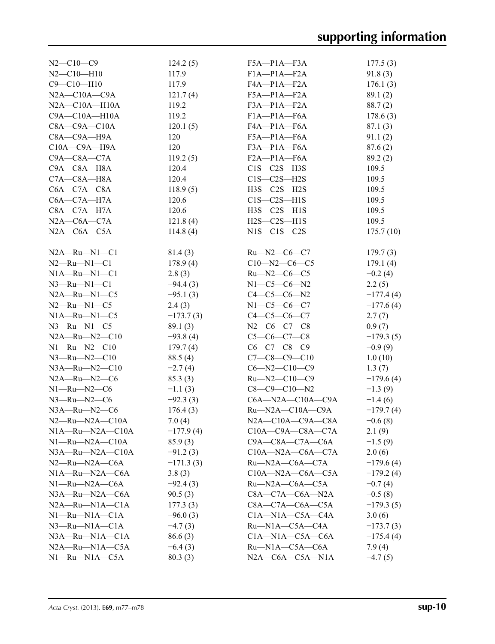| $N2 - C10 - C9$         | 124.2(5)    | $F5A - P1A - F3A$             | 177.5(3)    |
|-------------------------|-------------|-------------------------------|-------------|
| $N2 - C10 - H10$        | 117.9       | $F1A-P1A-F2A$                 | 91.8(3)     |
| $C9 - C10 - H10$        | 117.9       | FA—P1A—F2A                    | 176.1(3)    |
| $N2A - C10A - C9A$      | 121.7(4)    | $F5A - P1A - F2A$             | 89.1(2)     |
| $N2A - C10A - H10A$     | 119.2       | $F3A-P1A-F2A$                 | 88.7(2)     |
| $C9A - C10A - H10A$     | 119.2       | $F1A-P1A-F6A$                 | 178.6(3)    |
| $C8A - C9A - C10A$      | 120.1(5)    | FA—P1A—F6A                    | 87.1(3)     |
| C8A-C9A-H9A             | 120         | $F5A-P1A-F6A$                 | 91.1(2)     |
| $C10A - C9A - H9A$      | 120         | $F3A-P1A-F6A$                 | 87.6(2)     |
| $C9A - C8A - C7A$       | 119.2(5)    | $F2A-P1A-F6A$                 | 89.2(2)     |
| C9A-C8A-H8A             | 120.4       | $C1S-C2S-H3S$                 | 109.5       |
| $C7A - C8A - H8A$       | 120.4       | $C1S-C2S-H2S$                 | 109.5       |
| $C6A - C7A - C8A$       | 118.9(5)    | $H3S-C2S-H2S$                 | 109.5       |
| $C6A - C7A - H7A$       | 120.6       | $C1S-C2S-H1S$                 | 109.5       |
| $C8A - C7A - H7A$       | 120.6       | $H3S-C2S-H1S$                 | 109.5       |
| $N2A$ — $C6A$ — $C7A$   | 121.8(4)    | $H2S-C2S-H1S$                 | 109.5       |
| $N2A - C6A - C5A$       | 114.8(4)    | $N1S-C1S-C2S$                 | 175.7(10)   |
|                         |             |                               |             |
| $N2A - Ru - N1 - C1$    | 81.4(3)     | $Ru$ — $N2$ — $C6$ — $C7$     | 179.7(3)    |
| $N2 - Ru - N1 - C1$     | 178.9(4)    | $C10 - N2 - C6 - C5$          | 179.1(4)    |
| $N1A - Ru - N1 - C1$    | 2.8(3)      | $Ru$ —N2—C6—C5                | $-0.2(4)$   |
| $N3$ —Ru—N1—C1          | $-94.4(3)$  | $N1-C5-C6-N2$                 | 2.2(5)      |
| $N2A - Ru - N1 - C5$    | $-95.1(3)$  | $C4-C5-C6-N2$                 | $-177.4(4)$ |
| $N2$ —Ru—N1—C5          | 2.4(3)      | $N1-C5-C6-C7$                 | $-177.6(4)$ |
| $N1A - Ru - N1 - C5$    | $-173.7(3)$ | $C4 - C5 - C6 - C7$           | 2.7(7)      |
| $N3$ —Ru—N1—C5          | 89.1(3)     | $N2$ —C6—C7—C8                | 0.9(7)      |
| $N2A - Ru - N2 - C10$   | $-93.8(4)$  | $C5-C6-C7-C8$                 | $-179.3(5)$ |
| $N1 - Ru - N2 - C10$    | 179.7(4)    | $C6-C7-C8-C9$                 | $-0.9(9)$   |
| $N3 - Ru - N2 - C10$    | 88.5(4)     | $C7-C8-C9-C10$                | 1.0(10)     |
| $N3A - Ru - N2 - C10$   | $-2.7(4)$   | $C6 - N2 - C10 - C9$          | 1.3(7)      |
| $N2A - Ru - N2 - C6$    | 85.3(3)     | $Ru$ —N2—C10—C9               | $-179.6(4)$ |
| $N1 - Ru - N2 - C6$     | $-1.1(3)$   | $C8-C9-C10-N2$                | $-1.3(9)$   |
| $N3$ —Ru—N2—C6          | $-92.3(3)$  | $C6A - N2A - C10A - C9A$      | $-1.4(6)$   |
| $N3A - Ru - N2 - C6$    | 176.4(3)    | $Ru$ -N2A-C10A-C9A            | $-179.7(4)$ |
| $N2-Ru-N2A-C10A$        | 7.0(4)      | $N2A - C10A - C9A - C8A$      | $-0.6(8)$   |
| $N1A - Ru - N2A - C10A$ | $-177.9(4)$ | $C10A - C9A - C8A - C7A$      | 2.1(9)      |
| $N1 - Ru - N2A - C10A$  | 85.9(3)     | $C9A - C8A - C7A - C6A$       | $-1.5(9)$   |
| $N3A - Ru - N2A - C10A$ | $-91.2(3)$  | $C10A - N2A - C6A - C7A$      | 2.0(6)      |
| $N2-Ru-N2A-C6A$         | $-171.3(3)$ | $Ru$ —N2A—C6A—C7A             | $-179.6(4)$ |
| $N1A - Ru - N2A - C6A$  | 3.8(3)      | $C10A - N2A - C6A - C5A$      | $-179.2(4)$ |
| $N1 - Ru - N2A - C6A$   | $-92.4(3)$  | $Ru$ —N2A—C6A—C5A             | $-0.7(4)$   |
| $N3A - Ru - N2A - C6A$  | 90.5(3)     | $C8A - C7A - C6A - N2A$       | $-0.5(8)$   |
| $N2A - Ru - N1A - C1A$  | 177.3(3)    | $C8A - C7A - C6A - C5A$       | $-179.3(5)$ |
| $N1 - Ru - N1A - C1A$   | $-96.0(3)$  | $C1A - N1A - C5A - C4A$       | 3.0(6)      |
| $N3$ —Ru—N1A—C1A        | $-4.7(3)$   | $Ru-M1A-C5A-C4A$              | $-173.7(3)$ |
| $N3A - Ru - N1A - C1A$  | 86.6(3)     | $C1A - N1A - C5A - C6A$       | $-175.4(4)$ |
| $N2A - Ru - N1A - C5A$  | $-6.4(3)$   | $Ru$ —N1A—C5A—C6A             | 7.9(4)      |
| $N1 - Ru - N1A - C5A$   | 80.3(3)     | $N2A$ — $C6A$ — $C5A$ — $N1A$ | $-4.7(5)$   |
|                         |             |                               |             |